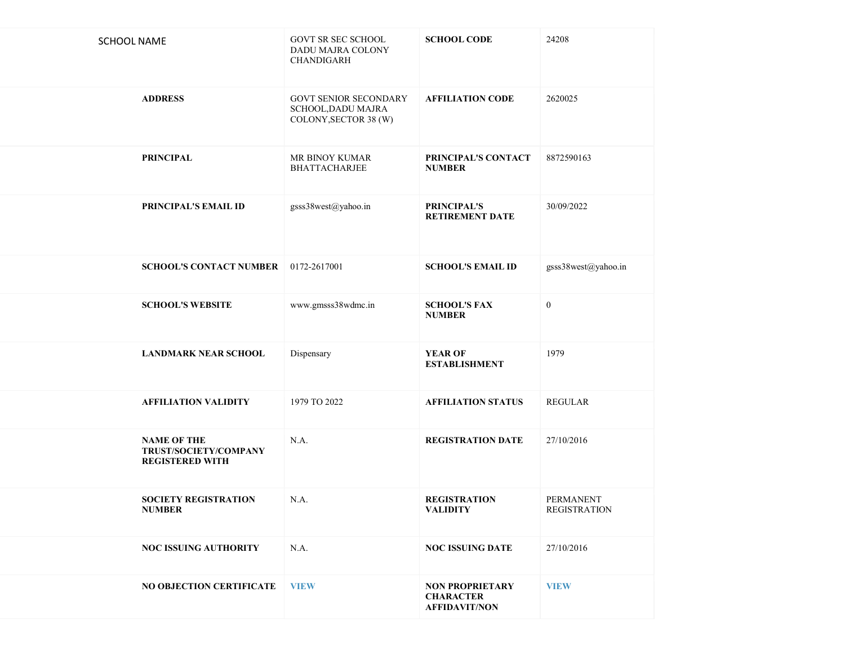| <b>SCHOOL NAME</b>                                                    | GOVT SR SEC SCHOOL<br>DADU MAJRA COLONY<br>CHANDIGARH                       | <b>SCHOOL CODE</b>                                                 | 24208                                   |
|-----------------------------------------------------------------------|-----------------------------------------------------------------------------|--------------------------------------------------------------------|-----------------------------------------|
| <b>ADDRESS</b>                                                        | <b>GOVT SENIOR SECONDARY</b><br>SCHOOL, DADU MAJRA<br>COLONY, SECTOR 38 (W) | <b>AFFILIATION CODE</b>                                            | 2620025                                 |
| <b>PRINCIPAL</b>                                                      | MR BINOY KUMAR<br><b>BHATTACHARJEE</b>                                      | PRINCIPAL'S CONTACT<br><b>NUMBER</b>                               | 8872590163                              |
| PRINCIPAL'S EMAIL ID                                                  | gsss38west@yahoo.in                                                         | PRINCIPAL'S<br>RETIREMENT DATE                                     | 30/09/2022                              |
| <b>SCHOOL'S CONTACT NUMBER</b>                                        | 0172-2617001                                                                | <b>SCHOOL'S EMAIL ID</b>                                           | gsss38west@yahoo.in                     |
| <b>SCHOOL'S WEBSITE</b>                                               | www.gmsss38wdmc.in                                                          | <b>SCHOOL'S FAX</b><br><b>NUMBER</b>                               | $\boldsymbol{0}$                        |
| <b>LANDMARK NEAR SCHOOL</b>                                           | Dispensary                                                                  | <b>YEAR OF</b><br><b>ESTABLISHMENT</b>                             | 1979                                    |
| <b>AFFILIATION VALIDITY</b>                                           | 1979 TO 2022                                                                | <b>AFFILIATION STATUS</b>                                          | <b>REGULAR</b>                          |
| <b>NAME OF THE</b><br>TRUST/SOCIETY/COMPANY<br><b>REGISTERED WITH</b> | N.A.                                                                        | <b>REGISTRATION DATE</b>                                           | 27/10/2016                              |
| <b>SOCIETY REGISTRATION</b><br><b>NUMBER</b>                          | N.A.                                                                        | <b>REGISTRATION</b><br>VALIDITY                                    | <b>PERMANENT</b><br><b>REGISTRATION</b> |
| <b>NOC ISSUING AUTHORITY</b>                                          | N.A.                                                                        | <b>NOC ISSUING DATE</b>                                            | 27/10/2016                              |
| <b>NO OBJECTION CERTIFICATE</b>                                       | <b>VIEW</b>                                                                 | <b>NON PROPRIETARY</b><br><b>CHARACTER</b><br><b>AFFIDAVIT/NON</b> | <b>VIEW</b>                             |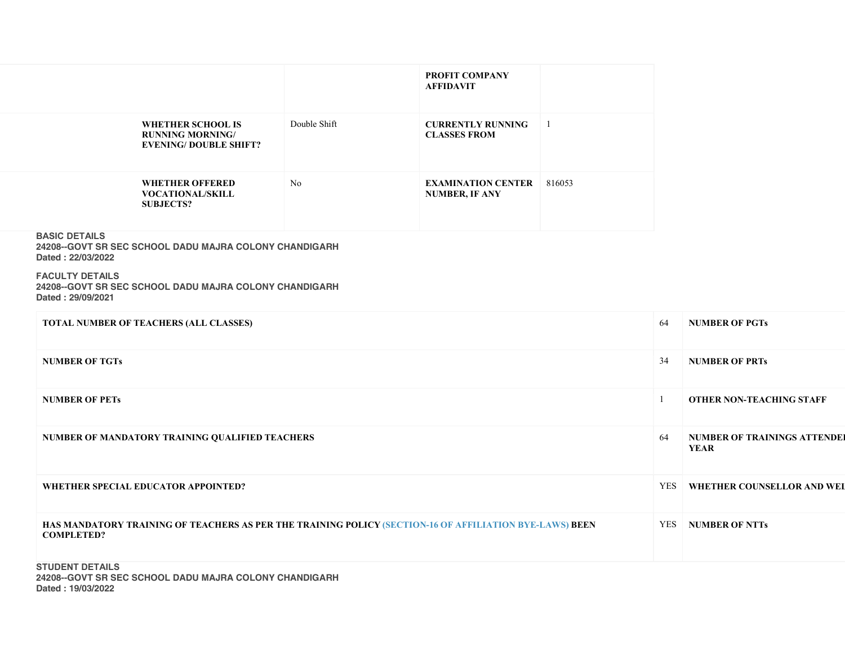|                                                                                     |                | <b>PROFIT COMPANY</b><br><b>AFFIDAVIT</b>          |                |
|-------------------------------------------------------------------------------------|----------------|----------------------------------------------------|----------------|
| <b>WHETHER SCHOOL IS</b><br><b>RUNNING MORNING/</b><br><b>EVENING/DOUBLE SHIFT?</b> | Double Shift   | <b>CURRENTLY RUNNING</b><br><b>CLASSES FROM</b>    | $\overline{1}$ |
| WHETHER OFFERED<br><b>VOCATIONAL/SKILL</b><br><b>SUBJECTS?</b>                      | N <sub>0</sub> | <b>EXAMINATION CENTER</b><br><b>NUMBER, IF ANY</b> | 816053         |

## BASIC DETAILS

24208--GOVT SR SEC SCHOOL DADU MAJRA COLONY CHANDIGARH Dated : 22/03/2022

### FACULTY DETAILS 24208--GOVT SR SEC SCHOOL DADU MAJRA COLONY CHANDIGARH Dated : 29/09/2021

| <b>TOTAL NUMBER OF TEACHERS (ALL CLASSES)</b>                                                                                | 64         | <b>NUMBER OF PGTs</b>                       |
|------------------------------------------------------------------------------------------------------------------------------|------------|---------------------------------------------|
| <b>NUMBER OF TGTs</b>                                                                                                        | 34         | <b>NUMBER OF PRTs</b>                       |
| <b>NUMBER OF PETs</b>                                                                                                        |            | <b>OTHER NON-TEACHING STAFF</b>             |
| NUMBER OF MANDATORY TRAINING QUALIFIED TEACHERS                                                                              | 64         | <b>NUMBER OF TRAININGS ATTENDED</b><br>YEAR |
| WHETHER SPECIAL EDUCATOR APPOINTED?                                                                                          | YES        | <b>WHETHER COUNSELLOR AND WEI</b>           |
| HAS MANDATORY TRAINING OF TEACHERS AS PER THE TRAINING POLICY (SECTION-16 OF AFFILIATION BYE-LAWS) BEEN<br><b>COMPLETED?</b> | <b>YES</b> | <b>NUMBER OF NTTs</b>                       |
| <b>STUDENT DETAILS</b>                                                                                                       |            |                                             |

24208--GOVT SR SEC SCHOOL DADU MAJRA COLONY CHANDIGARH Dated : 19/03/2022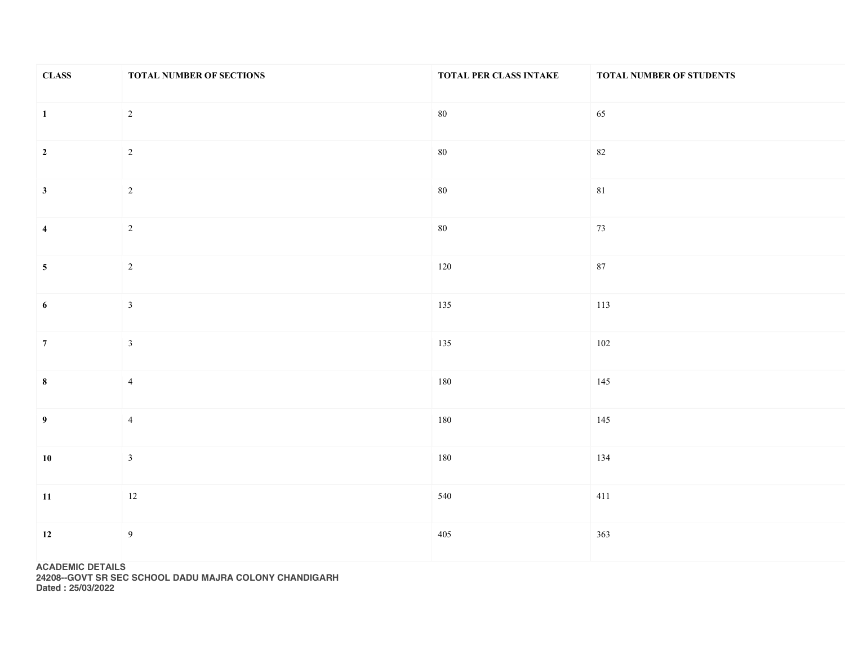| <b>CLASS</b>            | TOTAL NUMBER OF SECTIONS | TOTAL PER CLASS INTAKE | TOTAL NUMBER OF STUDENTS |
|-------------------------|--------------------------|------------------------|--------------------------|
| $\vert$ 1               | $\overline{2}$           | $80\,$                 | 65                       |
| $\overline{\mathbf{2}}$ | $\overline{2}$           | $80\,$                 | 82                       |
| $\mathbf{3}$            | $\overline{2}$           | $80\,$                 | $81\,$                   |
| $\overline{\mathbf{4}}$ | $\overline{2}$           | $80\,$                 | 73                       |
| $\overline{\mathbf{5}}$ | $\overline{2}$           | $120\,$                | $87\,$                   |
| $6\phantom{.}$          | $\mathbf{3}$             | 135                    | 113                      |
| $\overline{7}$          | $\overline{3}$           | 135                    | 102                      |
| $\boldsymbol{8}$        | $\overline{4}$           | 180                    | 145                      |
| $\overline{9}$          | $\overline{4}$           | 180                    | 145                      |
| <b>10</b>               | $\overline{3}$           | 180                    | 134                      |
| 11                      | $12\,$                   | 540                    | 411                      |
| 12                      | $\overline{9}$           | 405                    | 363                      |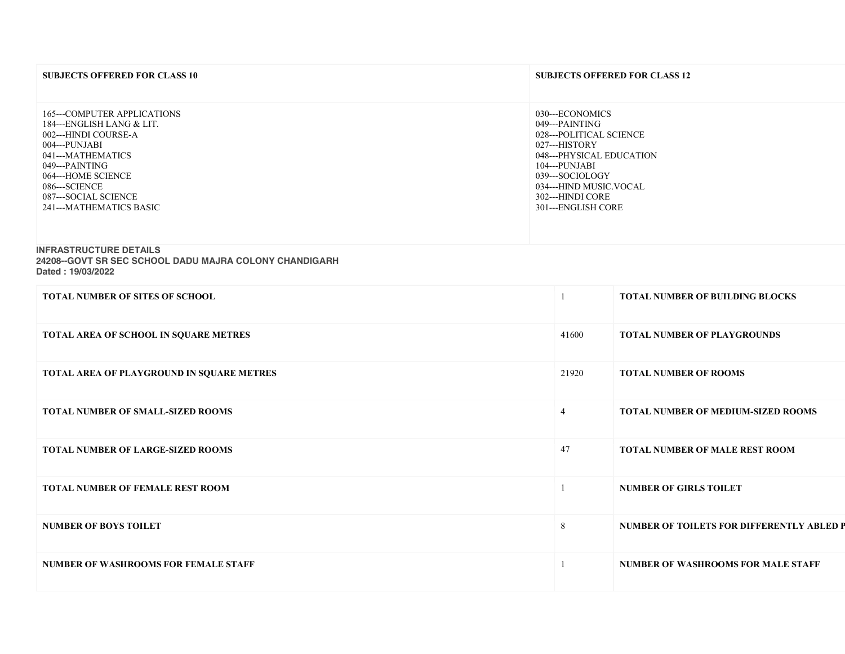| <b>SUBJECTS OFFERED FOR CLASS 10</b>                                                                                                                                                                                               | <b>SUBJECTS OFFERED FOR CLASS 12</b>                                                                                                                                                                              |
|------------------------------------------------------------------------------------------------------------------------------------------------------------------------------------------------------------------------------------|-------------------------------------------------------------------------------------------------------------------------------------------------------------------------------------------------------------------|
| 165---COMPUTER APPLICATIONS<br>184---ENGLISH LANG & LIT.<br>002---HINDI COURSE-A<br>004---PUNJABI<br>041---MATHEMATICS<br>049---PAINTING<br>064---HOME SCIENCE<br>086---SCIENCE<br>087---SOCIAL SCIENCE<br>241---MATHEMATICS BASIC | 030---ECONOMICS<br>049---PAINTING<br>028---POLITICAL SCIENCE<br>027---HISTORY<br>048---PHYSICAL EDUCATION<br>104---PUNJABI<br>039---SOCIOLOGY<br>034---HIND MUSIC.VOCAL<br>302---HINDI CORE<br>301---ENGLISH CORE |
| INFRACTRUCTURE RETAILS                                                                                                                                                                                                             |                                                                                                                                                                                                                   |

#### INFRASTRUCTURE DETAILS

24208--GOVT SR SEC SCHOOL DADU MAJRA COLONY CHANDIGARH

| Dated: 19/03/2022 |  |
|-------------------|--|
|-------------------|--|

| <b>TOTAL NUMBER OF SITES OF SCHOOL</b>      |                | <b>TOTAL NUMBER OF BUILDING BLOCKS</b>    |
|---------------------------------------------|----------------|-------------------------------------------|
| TOTAL AREA OF SCHOOL IN SQUARE METRES       | 41600          | <b>TOTAL NUMBER OF PLAYGROUNDS</b>        |
| TOTAL AREA OF PLAYGROUND IN SQUARE METRES   | 21920          | <b>TOTAL NUMBER OF ROOMS</b>              |
| <b>TOTAL NUMBER OF SMALL-SIZED ROOMS</b>    | $\overline{4}$ | <b>TOTAL NUMBER OF MEDIUM-SIZED ROOMS</b> |
| <b>TOTAL NUMBER OF LARGE-SIZED ROOMS</b>    | 47             | <b>TOTAL NUMBER OF MALE REST ROOM</b>     |
| <b>TOTAL NUMBER OF FEMALE REST ROOM</b>     |                | <b>NUMBER OF GIRLS TOILET</b>             |
| <b>NUMBER OF BOYS TOILET</b>                | 8              | NUMBER OF TOILETS FOR DIFFERENTLY ABLED P |
| <b>NUMBER OF WASHROOMS FOR FEMALE STAFF</b> |                | <b>NUMBER OF WASHROOMS FOR MALE STAFF</b> |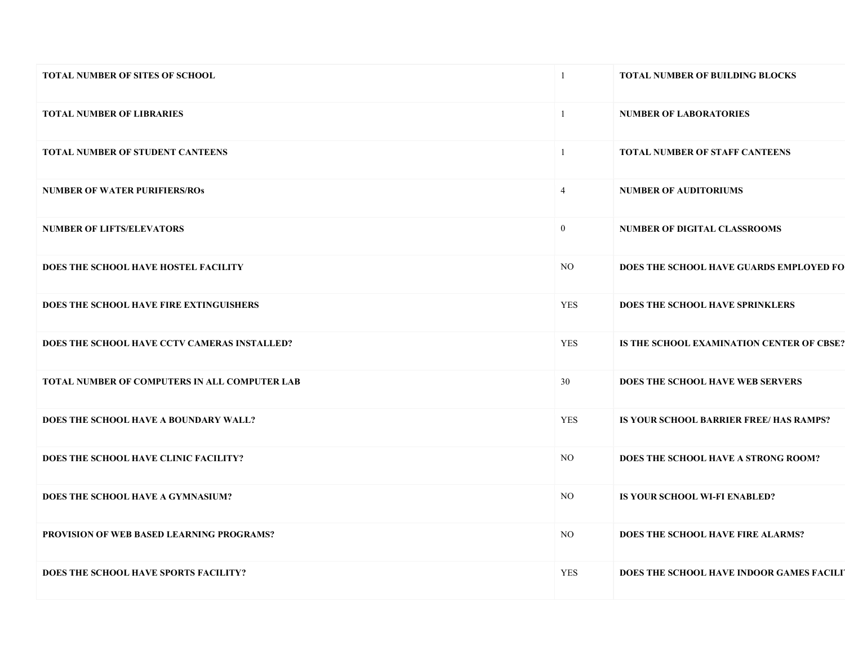| <b>TOTAL NUMBER OF SITES OF SCHOOL</b>        | $\mathbf{1}$   | <b>TOTAL NUMBER OF BUILDING BLOCKS</b>    |
|-----------------------------------------------|----------------|-------------------------------------------|
| <b>TOTAL NUMBER OF LIBRARIES</b>              | $\mathbf{1}$   | <b>NUMBER OF LABORATORIES</b>             |
| <b>TOTAL NUMBER OF STUDENT CANTEENS</b>       | $\mathbf{1}$   | <b>TOTAL NUMBER OF STAFF CANTEENS</b>     |
| <b>NUMBER OF WATER PURIFIERS/ROS</b>          | $\overline{4}$ | <b>NUMBER OF AUDITORIUMS</b>              |
| <b>NUMBER OF LIFTS/ELEVATORS</b>              | $\mathbf{0}$   | <b>NUMBER OF DIGITAL CLASSROOMS</b>       |
| DOES THE SCHOOL HAVE HOSTEL FACILITY          | NO.            | DOES THE SCHOOL HAVE GUARDS EMPLOYED FO   |
| DOES THE SCHOOL HAVE FIRE EXTINGUISHERS       | <b>YES</b>     | DOES THE SCHOOL HAVE SPRINKLERS           |
| DOES THE SCHOOL HAVE CCTV CAMERAS INSTALLED?  | <b>YES</b>     | IS THE SCHOOL EXAMINATION CENTER OF CBSE? |
| TOTAL NUMBER OF COMPUTERS IN ALL COMPUTER LAB | 30             | DOES THE SCHOOL HAVE WEB SERVERS          |
| DOES THE SCHOOL HAVE A BOUNDARY WALL?         | <b>YES</b>     | IS YOUR SCHOOL BARRIER FREE/ HAS RAMPS?   |
| DOES THE SCHOOL HAVE CLINIC FACILITY?         | NO.            | DOES THE SCHOOL HAVE A STRONG ROOM?       |
| DOES THE SCHOOL HAVE A GYMNASIUM?             | NO.            | IS YOUR SCHOOL WI-FI ENABLED?             |
| PROVISION OF WEB BASED LEARNING PROGRAMS?     | $_{\rm NO}$    | DOES THE SCHOOL HAVE FIRE ALARMS?         |
| <b>DOES THE SCHOOL HAVE SPORTS FACILITY?</b>  | <b>YES</b>     | DOES THE SCHOOL HAVE INDOOR GAMES FACILIT |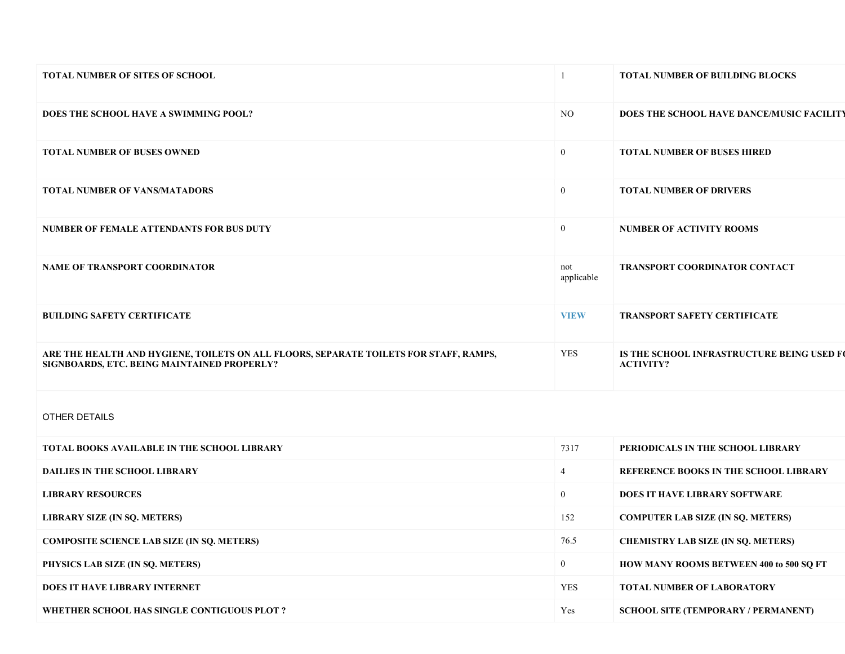| <b>TOTAL NUMBER OF SITES OF SCHOOL</b>                                                                                               |                   | <b>TOTAL NUMBER OF BUILDING BLOCKS</b>                         |
|--------------------------------------------------------------------------------------------------------------------------------------|-------------------|----------------------------------------------------------------|
| DOES THE SCHOOL HAVE A SWIMMING POOL?                                                                                                | NO.               | DOES THE SCHOOL HAVE DANCE/MUSIC FACILITY                      |
| <b>TOTAL NUMBER OF BUSES OWNED</b>                                                                                                   | $\mathbf{0}$      | <b>TOTAL NUMBER OF BUSES HIRED</b>                             |
| <b>TOTAL NUMBER OF VANS/MATADORS</b>                                                                                                 | $\overline{0}$    | <b>TOTAL NUMBER OF DRIVERS</b>                                 |
| NUMBER OF FEMALE ATTENDANTS FOR BUS DUTY                                                                                             | $\overline{0}$    | <b>NUMBER OF ACTIVITY ROOMS</b>                                |
| <b>NAME OF TRANSPORT COORDINATOR</b>                                                                                                 | not<br>applicable | <b>TRANSPORT COORDINATOR CONTACT</b>                           |
| <b>BUILDING SAFETY CERTIFICATE</b>                                                                                                   | <b>VIEW</b>       | <b>TRANSPORT SAFETY CERTIFICATE</b>                            |
| ARE THE HEALTH AND HYGIENE, TOILETS ON ALL FLOORS, SEPARATE TOILETS FOR STAFF, RAMPS,<br>SIGNBOARDS, ETC. BEING MAINTAINED PROPERLY? | YES               | IS THE SCHOOL INFRASTRUCTURE BEING USED FO<br><b>ACTIVITY?</b> |

# OTHER DETAILS

| TOTAL BOOKS AVAILABLE IN THE SCHOOL LIBRARY       | 7317       | PERIODICALS IN THE SCHOOL LIBRARY              |
|---------------------------------------------------|------------|------------------------------------------------|
| <b>DAILIES IN THE SCHOOL LIBRARY</b>              |            | <b>REFERENCE BOOKS IN THE SCHOOL LIBRARY</b>   |
| <b>LIBRARY RESOURCES</b>                          | $\theta$   | <b>DOES IT HAVE LIBRARY SOFTWARE</b>           |
| LIBRARY SIZE (IN SQ. METERS)                      | 152        | <b>COMPUTER LAB SIZE (IN SO. METERS)</b>       |
| <b>COMPOSITE SCIENCE LAB SIZE (IN SO. METERS)</b> | 76.5       | <b>CHEMISTRY LAB SIZE (IN SO. METERS)</b>      |
| PHYSICS LAB SIZE (IN SQ. METERS)                  | $\theta$   | <b>HOW MANY ROOMS BETWEEN 400 to 500 SO FT</b> |
| <b>DOES IT HAVE LIBRARY INTERNET</b>              | <b>YES</b> | <b>TOTAL NUMBER OF LABORATORY</b>              |
| WHETHER SCHOOL HAS SINGLE CONTIGUOUS PLOT ?       | Yes        | <b>SCHOOL SITE (TEMPORARY / PERMANENT)</b>     |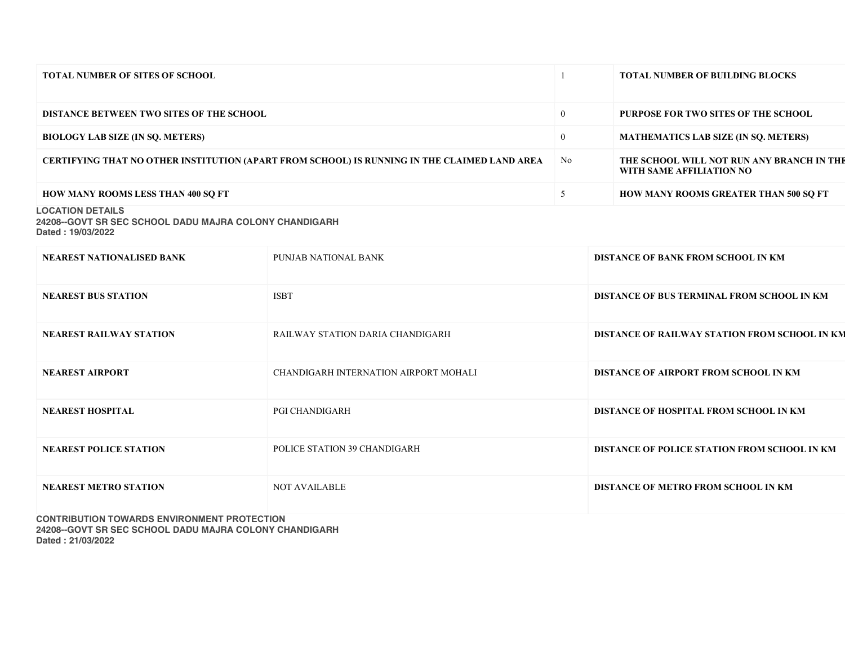| <b>TOTAL NUMBER OF SITES OF SCHOOL</b>                                                       |                | <b>TOTAL NUMBER OF BUILDING BLOCKS</b>                                |
|----------------------------------------------------------------------------------------------|----------------|-----------------------------------------------------------------------|
| <b>DISTANCE BETWEEN TWO SITES OF THE SCHOOL</b>                                              | $\mathbf{0}$   | <b>PURPOSE FOR TWO SITES OF THE SCHOOL</b>                            |
| <b>BIOLOGY LAB SIZE (IN SO, METERS)</b>                                                      | $\overline{0}$ | <b>MATHEMATICS LAB SIZE (IN SO. METERS)</b>                           |
| CERTIFYING THAT NO OTHER INSTITUTION (APART FROM SCHOOL) IS RUNNING IN THE CLAIMED LAND AREA | No.            | THE SCHOOL WILL NOT RUN ANY BRANCH IN THE<br>WITH SAME AFFILIATION NO |
| <b>HOW MANY ROOMS LESS THAN 400 SO FT</b>                                                    |                | <b>HOW MANY ROOMS GREATER THAN 500 SQ FT</b>                          |
| <b>LOCATION DETAILS</b><br>04000 COUT CD CEO COUOQI DADILMA IDA COLONIV OLIANIDIO ADLI       |                |                                                                       |

24208--GOVT SR SEC SCHOOL DADU MAJRA COLONY CHANDIGARH Dated : 19/03/2022

| <b>NEAREST NATIONALISED BANK</b> | PUNJAB NATIONAL BANK                  | <b>DISTANCE OF BANK FROM SCHOOL IN KM</b>     |
|----------------------------------|---------------------------------------|-----------------------------------------------|
| <b>NEAREST BUS STATION</b>       | <b>ISBT</b>                           | DISTANCE OF BUS TERMINAL FROM SCHOOL IN KM    |
| <b>NEAREST RAILWAY STATION</b>   | RAILWAY STATION DARIA CHANDIGARH      | DISTANCE OF RAILWAY STATION FROM SCHOOL IN KM |
| <b>NEAREST AIRPORT</b>           | CHANDIGARH INTERNATION AIRPORT MOHALI | DISTANCE OF AIRPORT FROM SCHOOL IN KM         |
| <b>NEAREST HOSPITAL</b>          | <b>PGI CHANDIGARH</b>                 | DISTANCE OF HOSPITAL FROM SCHOOL IN KM        |
| <b>NEAREST POLICE STATION</b>    | POLICE STATION 39 CHANDIGARH          | DISTANCE OF POLICE STATION FROM SCHOOL IN KM  |
| <b>NEAREST METRO STATION</b>     | <b>NOT AVAILABLE</b>                  | DISTANCE OF METRO FROM SCHOOL IN KM           |

CONTRIBUTION TOWARDS ENVIRONMENT PROTECTION 24208--GOVT SR SEC SCHOOL DADU MAJRA COLONY CHANDIGARH Dated : 21/03/2022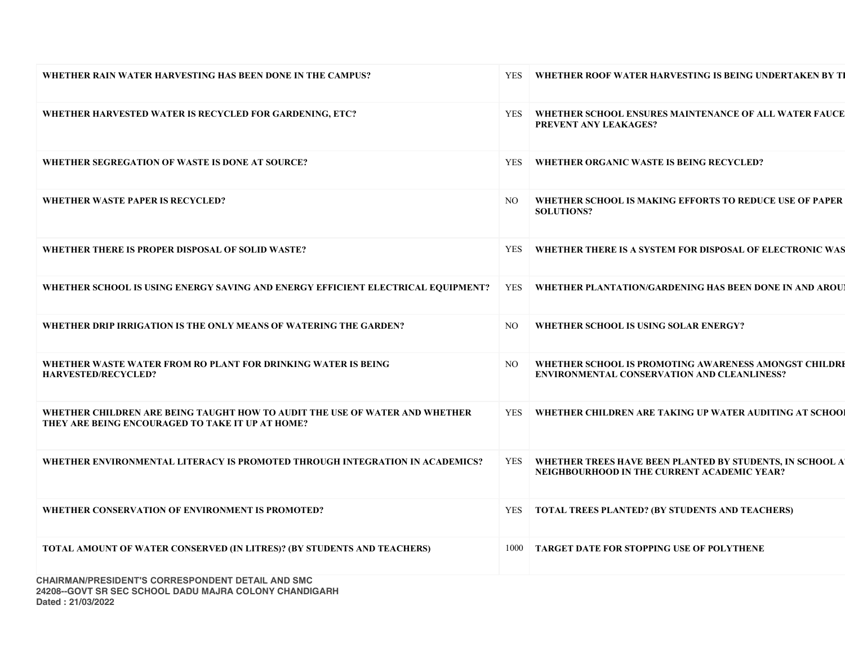| WHETHER RAIN WATER HARVESTING HAS BEEN DONE IN THE CAMPUS?                                                                      | <b>YES</b> | WHETHER ROOF WATER HARVESTING IS BEING UNDERTAKEN BY TI                                                     |
|---------------------------------------------------------------------------------------------------------------------------------|------------|-------------------------------------------------------------------------------------------------------------|
| WHETHER HARVESTED WATER IS RECYCLED FOR GARDENING, ETC?                                                                         | YES        | WHETHER SCHOOL ENSURES MAINTENANCE OF ALL WATER FAUCE<br><b>PREVENT ANY LEAKAGES?</b>                       |
| WHETHER SEGREGATION OF WASTE IS DONE AT SOURCE?                                                                                 | <b>YES</b> | WHETHER ORGANIC WASTE IS BEING RECYCLED?                                                                    |
| WHETHER WASTE PAPER IS RECYCLED?                                                                                                | NO.        | WHETHER SCHOOL IS MAKING EFFORTS TO REDUCE USE OF PAPER<br><b>SOLUTIONS?</b>                                |
| WHETHER THERE IS PROPER DISPOSAL OF SOLID WASTE?                                                                                | <b>YES</b> | WHETHER THERE IS A SYSTEM FOR DISPOSAL OF ELECTRONIC WAS                                                    |
| WHETHER SCHOOL IS USING ENERGY SAVING AND ENERGY EFFICIENT ELECTRICAL EQUIPMENT?                                                |            | YES WHETHER PLANTATION/GARDENING HAS BEEN DONE IN AND AROU                                                  |
| WHETHER DRIP IRRIGATION IS THE ONLY MEANS OF WATERING THE GARDEN?                                                               | NO.        | WHETHER SCHOOL IS USING SOLAR ENERGY?                                                                       |
| WHETHER WASTE WATER FROM RO PLANT FOR DRINKING WATER IS BEING<br><b>HARVESTED/RECYCLED?</b>                                     | NO.        | WHETHER SCHOOL IS PROMOTING AWARENESS AMONGST CHILDRE<br><b>ENVIRONMENTAL CONSERVATION AND CLEANLINESS?</b> |
| WHETHER CHILDREN ARE BEING TAUGHT HOW TO AUDIT THE USE OF WATER AND WHETHER<br>THEY ARE BEING ENCOURAGED TO TAKE IT UP AT HOME? |            | YES   WHETHER CHILDREN ARE TAKING UP WATER AUDITING AT SCHOOL                                               |
| WHETHER ENVIRONMENTAL LITERACY IS PROMOTED THROUGH INTEGRATION IN ACADEMICS?                                                    | <b>YES</b> | WHETHER TREES HAVE BEEN PLANTED BY STUDENTS, IN SCHOOL A<br>NEIGHBOURHOOD IN THE CURRENT ACADEMIC YEAR?     |
| WHETHER CONSERVATION OF ENVIRONMENT IS PROMOTED?                                                                                | <b>YES</b> | <b>TOTAL TREES PLANTED? (BY STUDENTS AND TEACHERS)</b>                                                      |
| TOTAL AMOUNT OF WATER CONSERVED (IN LITRES)? (BY STUDENTS AND TEACHERS)                                                         | 1000       | TARGET DATE FOR STOPPING USE OF POLYTHENE                                                                   |
| CHAIDMAN/DDECIDENT'S CODDESDONDENT DETAIL AND SMC                                                                               |            |                                                                                                             |

CHAIRMAN/PRESIDENT'S CORRESPONDENT DETAIL AND SMC 24208--GOVT SR SEC SCHOOL DADU MAJRA COLONY CHANDIGARH Dated : 21/03/2022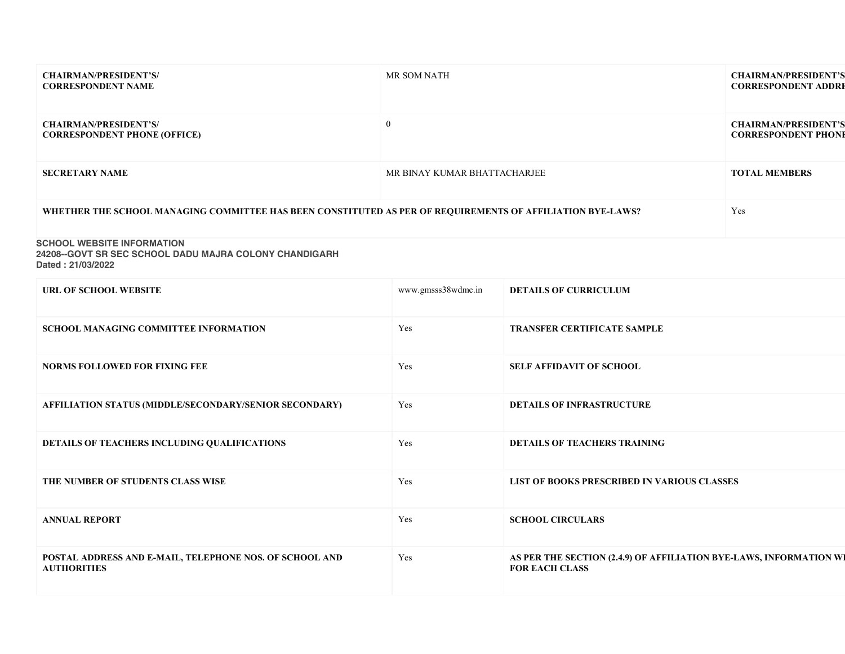| <b>CHAIRMAN/PRESIDENT'S/</b><br><b>CORRESPONDENT NAME</b>                                                        | MR SOM NATH                  |                                                                                             | <b>CHAIRMAN/PRESIDENT'S</b><br><b>CORRESPONDENT ADDRE</b> |
|------------------------------------------------------------------------------------------------------------------|------------------------------|---------------------------------------------------------------------------------------------|-----------------------------------------------------------|
| <b>CHAIRMAN/PRESIDENT'S/</b><br><b>CORRESPONDENT PHONE (OFFICE)</b>                                              | $\overline{0}$               |                                                                                             | <b>CHAIRMAN/PRESIDENT'S</b><br><b>CORRESPONDENT PHONE</b> |
| <b>SECRETARY NAME</b>                                                                                            | MR BINAY KUMAR BHATTACHARJEE |                                                                                             | <b>TOTAL MEMBERS</b>                                      |
| WHETHER THE SCHOOL MANAGING COMMITTEE HAS BEEN CONSTITUTED AS PER OF REQUIREMENTS OF AFFILIATION BYE-LAWS?       |                              |                                                                                             | Yes                                                       |
| <b>SCHOOL WEBSITE INFORMATION</b><br>24208--GOVT SR SEC SCHOOL DADU MAJRA COLONY CHANDIGARH<br>Dated: 21/03/2022 |                              |                                                                                             |                                                           |
| URL OF SCHOOL WEBSITE                                                                                            | www.gmsss38wdmc.in           | <b>DETAILS OF CURRICULUM</b>                                                                |                                                           |
| SCHOOL MANAGING COMMITTEE INFORMATION                                                                            | Yes                          | <b>TRANSFER CERTIFICATE SAMPLE</b>                                                          |                                                           |
| <b>NORMS FOLLOWED FOR FIXING FEE</b>                                                                             | Yes                          | <b>SELF AFFIDAVIT OF SCHOOL</b>                                                             |                                                           |
| AFFILIATION STATUS (MIDDLE/SECONDARY/SENIOR SECONDARY)                                                           | Yes                          | <b>DETAILS OF INFRASTRUCTURE</b>                                                            |                                                           |
| DETAILS OF TEACHERS INCLUDING QUALIFICATIONS                                                                     | Yes                          | <b>DETAILS OF TEACHERS TRAINING</b>                                                         |                                                           |
| THE NUMBER OF STUDENTS CLASS WISE                                                                                | Yes                          | LIST OF BOOKS PRESCRIBED IN VARIOUS CLASSES                                                 |                                                           |
| <b>ANNUAL REPORT</b>                                                                                             | Yes                          | <b>SCHOOL CIRCULARS</b>                                                                     |                                                           |
| POSTAL ADDRESS AND E-MAIL, TELEPHONE NOS. OF SCHOOL AND<br><b>AUTHORITIES</b>                                    | Yes                          | AS PER THE SECTION (2.4.9) OF AFFILIATION BYE-LAWS, INFORMATION WI<br><b>FOR EACH CLASS</b> |                                                           |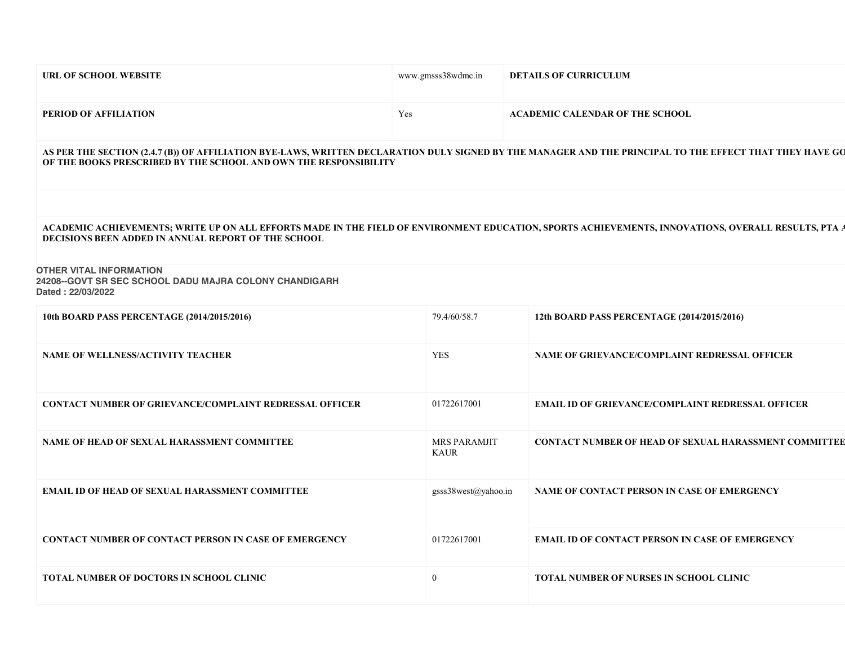| URL OF SCHOOL WEBSITE                                                                                                                                                                                                        | www.gmsss38wdmc.in          | <b>DETAILS OF CURRICULUM</b>                                 |
|------------------------------------------------------------------------------------------------------------------------------------------------------------------------------------------------------------------------------|-----------------------------|--------------------------------------------------------------|
| PERIOD OF AFFILIATION                                                                                                                                                                                                        | Yes                         | <b>ACADEMIC CALENDAR OF THE SCHOOL</b>                       |
| AS PER THE SECTION (2.4.7 (B)) OF AFFILIATION BYE-LAWS, WRITTEN DECLARATION DULY SIGNED BY THE MANAGER AND THE PRINCIPAL TO THE EFFECT THAT THEY HAVE GO<br>OF THE BOOKS PRESCRIBED BY THE SCHOOL AND OWN THE RESPONSIBILITY |                             |                                                              |
| ACADEMIC ACHIEVEMENTS; WRITE UP ON ALL EFFORTS MADE IN THE FIELD OF ENVIRONMENT EDUCATION, SPORTS ACHIEVEMENTS, INNOVATIONS, OVERALL RESULTS, PTA A<br>DECISIONS BEEN ADDED IN ANNUAL REPORT OF THE SCHOOL                   |                             |                                                              |
| <b>OTHER VITAL INFORMATION</b><br>24208--GOVT SR SEC SCHOOL DADU MAJRA COLONY CHANDIGARH<br>Dated: 22/03/2022                                                                                                                |                             |                                                              |
| 10th BOARD PASS PERCENTAGE (2014/2015/2016)                                                                                                                                                                                  | 79.4/60/58.7                | 12th BOARD PASS PERCENTAGE (2014/2015/2016)                  |
| NAME OF WELLNESS/ACTIVITY TEACHER                                                                                                                                                                                            | <b>YES</b>                  | NAME OF GRIEVANCE/COMPLAINT REDRESSAL OFFICER                |
| <b>CONTACT NUMBER OF GRIEVANCE/COMPLAINT REDRESSAL OFFICER</b>                                                                                                                                                               | 01722617001                 | <b>EMAIL ID OF GRIEVANCE/COMPLAINT REDRESSAL OFFICER</b>     |
| NAME OF HEAD OF SEXUAL HARASSMENT COMMITTEE                                                                                                                                                                                  | MRS PARAMJIT<br><b>KAUR</b> | <b>CONTACT NUMBER OF HEAD OF SEXUAL HARASSMENT COMMITTEE</b> |
| <b>EMAIL ID OF HEAD OF SEXUAL HARASSMENT COMMITTEE</b>                                                                                                                                                                       | gsss38west@yahoo.in         | NAME OF CONTACT PERSON IN CASE OF EMERGENCY                  |
| CONTACT NUMBER OF CONTACT PERSON IN CASE OF EMERGENCY                                                                                                                                                                        | 01722617001                 | <b>EMAIL ID OF CONTACT PERSON IN CASE OF EMERGENCY</b>       |
| <b>TOTAL NUMBER OF DOCTORS IN SCHOOL CLINIC</b>                                                                                                                                                                              | $\overline{0}$              | <b>TOTAL NUMBER OF NURSES IN SCHOOL CLINIC</b>               |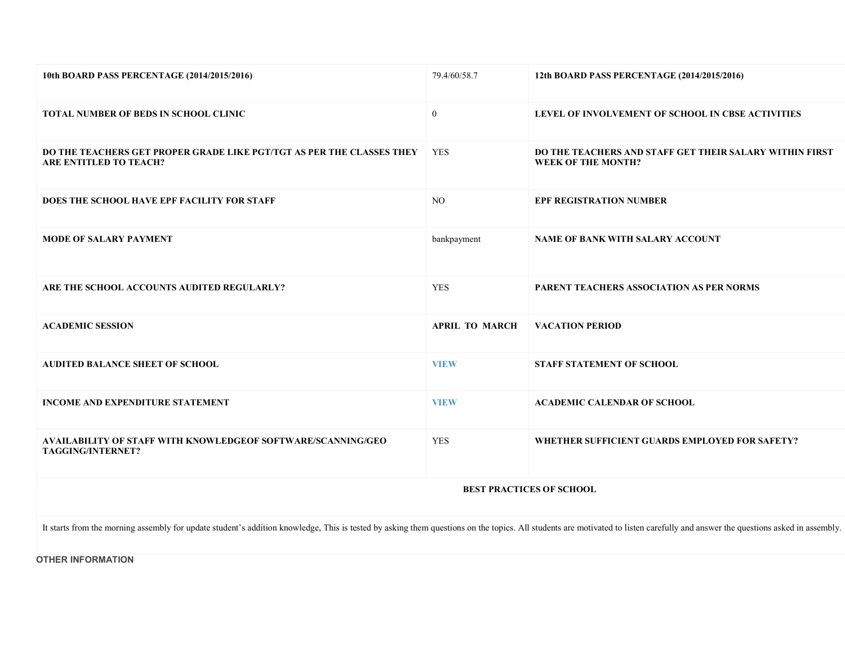| 10th BOARD PASS PERCENTAGE (2014/2015/2016)                                                                                                                                                                                    | 79.4/60/58.7          | 12th BOARD PASS PERCENTAGE (2014/2015/2016)                                          |
|--------------------------------------------------------------------------------------------------------------------------------------------------------------------------------------------------------------------------------|-----------------------|--------------------------------------------------------------------------------------|
| <b>TOTAL NUMBER OF BEDS IN SCHOOL CLINIC</b>                                                                                                                                                                                   | $\overline{0}$        | LEVEL OF INVOLVEMENT OF SCHOOL IN CBSE ACTIVITIES                                    |
| DO THE TEACHERS GET PROPER GRADE LIKE PGT/TGT AS PER THE CLASSES THEY<br><b>ARE ENTITLED TO TEACH?</b>                                                                                                                         | <b>YES</b>            | DO THE TEACHERS AND STAFF GET THEIR SALARY WITHIN FIRST<br><b>WEEK OF THE MONTH?</b> |
| DOES THE SCHOOL HAVE EPF FACILITY FOR STAFF                                                                                                                                                                                    | NO.                   | <b>EPF REGISTRATION NUMBER</b>                                                       |
| <b>MODE OF SALARY PAYMENT</b>                                                                                                                                                                                                  | bankpayment           | NAME OF BANK WITH SALARY ACCOUNT                                                     |
| ARE THE SCHOOL ACCOUNTS AUDITED REGULARLY?                                                                                                                                                                                     | <b>YES</b>            | PARENT TEACHERS ASSOCIATION AS PER NORMS                                             |
| <b>ACADEMIC SESSION</b>                                                                                                                                                                                                        | <b>APRIL TO MARCH</b> | <b>VACATION PERIOD</b>                                                               |
| AUDITED BALANCE SHEET OF SCHOOL                                                                                                                                                                                                | <b>VIEW</b>           | STAFF STATEMENT OF SCHOOL                                                            |
| INCOME AND EXPENDITURE STATEMENT                                                                                                                                                                                               | <b>VIEW</b>           | <b>ACADEMIC CALENDAR OF SCHOOL</b>                                                   |
| AVAILABILITY OF STAFF WITH KNOWLEDGEOF SOFTWARE/SCANNING/GEO<br>TAGGING/INTERNET?                                                                                                                                              | <b>YES</b>            | WHETHER SUFFICIENT GUARDS EMPLOYED FOR SAFETY?                                       |
|                                                                                                                                                                                                                                |                       | <b>BEST PRACTICES OF SCHOOL</b>                                                      |
| It starts from the morning assembly for update student's addition knowledge, This is tested by asking them questions on the topics. All students are motivated to listen carefully and answer the questions asked in assembly. |                       |                                                                                      |

OTHER INFORMATION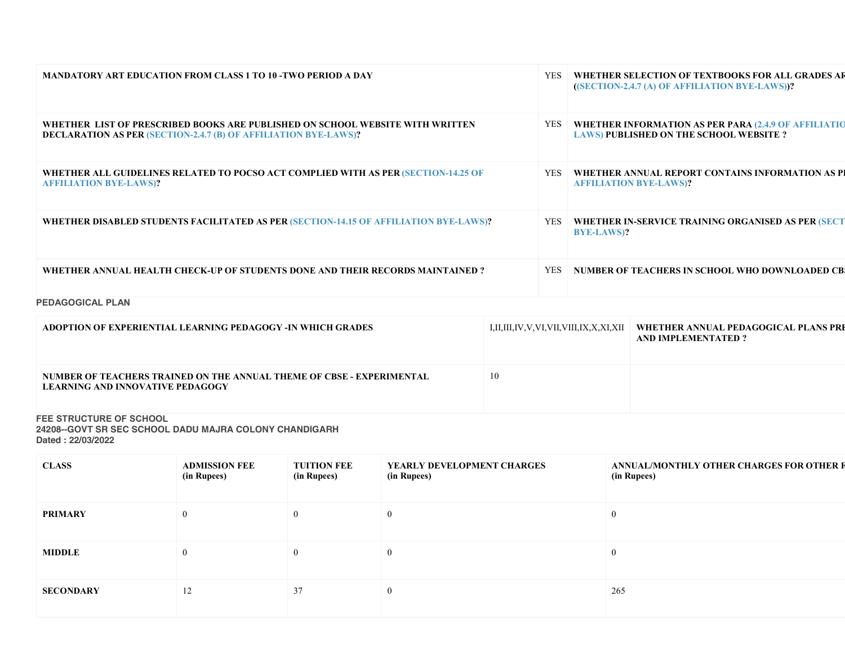| <b>MANDATORY ART EDUCATION FROM CLASS 1 TO 10 -TWO PERIOD A DAY</b>                                                                                     | <b>YES</b> |            | WHETHER SELECTION OF TEXTBOOKS FOR ALL GRADES AR<br>((SECTION-2.4.7 (A) OF AFFILIATION BYE-LAWS))? |                                                                                                              |
|---------------------------------------------------------------------------------------------------------------------------------------------------------|------------|------------|----------------------------------------------------------------------------------------------------|--------------------------------------------------------------------------------------------------------------|
| WHETHER LIST OF PRESCRIBED BOOKS ARE PUBLISHED ON SCHOOL WEBSITE WITH WRITTEN<br><b>DECLARATION AS PER (SECTION-2.4.7 (B) OF AFFILIATION BYE-LAWS)?</b> |            |            |                                                                                                    | <b>WHETHER INFORMATION AS PER PARA (2.4.9 OF AFFILIATIO</b><br><b>LAWS) PUBLISHED ON THE SCHOOL WEBSITE?</b> |
| WHETHER ALL GUIDELINES RELATED TO POCSO ACT COMPLIED WITH AS PER (SECTION-14.25 OF<br><b>AFFILIATION BYE-LAWS)?</b>                                     |            |            |                                                                                                    | WHETHER ANNUAL REPORT CONTAINS INFORMATION AS PI<br><b>AFFILIATION BYE-LAWS)?</b>                            |
| WHETHER DISABLED STUDENTS FACILITATED AS PER (SECTION-14.15 OF AFFILIATION BYE-LAWS)?                                                                   |            |            | YES<br><b>BYE-LAWS)?</b>                                                                           | WHETHER IN-SERVICE TRAINING ORGANISED AS PER (SECT                                                           |
| WHETHER ANNUAL HEALTH CHECK-UP OF STUDENTS DONE AND THEIR RECORDS MAINTAINED?                                                                           |            | <b>YES</b> |                                                                                                    | NUMBER OF TEACHERS IN SCHOOL WHO DOWNLOADED CB                                                               |
| <b>PEDAGOGICAL PLAN</b>                                                                                                                                 |            |            |                                                                                                    |                                                                                                              |
| ADOPTION OF EXPERIENTIAL LEARNING PEDAGOGY -IN WHICH GRADES                                                                                             |            |            | I,II,III,IV,V,VI,VII,VIII,IX,X,XI,XII                                                              | WHETHER ANNUAL PEDAGOGICAL PLANS PRI<br><b>AND IMPLEMENTATED?</b>                                            |
| NUMBER OF TEACHERS TRAINED ON THE ANNUAL THEME OF CBSE - EXPERIMENTAL<br><b>LEARNING AND INNOVATIVE PEDAGOGY</b>                                        | 10         |            |                                                                                                    |                                                                                                              |

FEE STRUCTURE OF SCHOOL

24208--GOVT SR SEC SCHOOL DADU MAJRA COLONY CHANDIGARH Dated : 22/03/2022

| <b>CLASS</b>     | <b>ADMISSION FEE</b><br>(in Rupees) | <b>TUITION FEE</b><br>(in Rupees) | YEARLY DEVELOPMENT CHARGES<br>(in Rupees) | ANNUAL/MONTHLY OTHER CHARGES FOR OTHER F<br>(in Rupees) |
|------------------|-------------------------------------|-----------------------------------|-------------------------------------------|---------------------------------------------------------|
| <b>PRIMARY</b>   | $\theta$                            | $\mathbf{0}$                      | $\Omega$                                  | $\theta$                                                |
| <b>MIDDLE</b>    | $\Omega$                            | $\theta$                          | $\Omega$                                  | $\Omega$                                                |
| <b>SECONDARY</b> | 12                                  | 37                                | $\Omega$                                  | 265                                                     |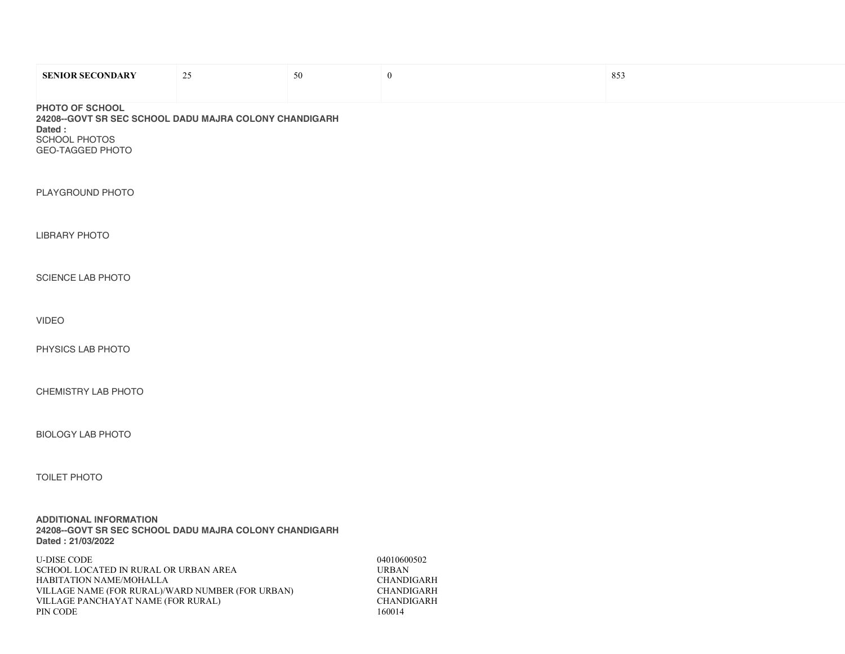| <b>SENIOR SECONDARY</b>                                                                                                                                                                      | 25 | 50 | $\boldsymbol{0}$                                                                                     | 853 |
|----------------------------------------------------------------------------------------------------------------------------------------------------------------------------------------------|----|----|------------------------------------------------------------------------------------------------------|-----|
| PHOTO OF SCHOOL<br>24208--GOVT SR SEC SCHOOL DADU MAJRA COLONY CHANDIGARH<br>Dated:<br>SCHOOL PHOTOS<br>GEO-TAGGED PHOTO                                                                     |    |    |                                                                                                      |     |
| PLAYGROUND PHOTO                                                                                                                                                                             |    |    |                                                                                                      |     |
| <b>LIBRARY PHOTO</b>                                                                                                                                                                         |    |    |                                                                                                      |     |
| SCIENCE LAB PHOTO                                                                                                                                                                            |    |    |                                                                                                      |     |
| <b>VIDEO</b>                                                                                                                                                                                 |    |    |                                                                                                      |     |
| PHYSICS LAB PHOTO                                                                                                                                                                            |    |    |                                                                                                      |     |
| CHEMISTRY LAB PHOTO                                                                                                                                                                          |    |    |                                                                                                      |     |
| <b>BIOLOGY LAB PHOTO</b>                                                                                                                                                                     |    |    |                                                                                                      |     |
| <b>TOILET PHOTO</b>                                                                                                                                                                          |    |    |                                                                                                      |     |
| <b>ADDITIONAL INFORMATION</b><br>24208--GOVT SR SEC SCHOOL DADU MAJRA COLONY CHANDIGARH<br>Dated: 21/03/2022                                                                                 |    |    |                                                                                                      |     |
| <b>U-DISE CODE</b><br>SCHOOL LOCATED IN RURAL OR URBAN AREA<br>HABITATION NAME/MOHALLA<br>VILLAGE NAME (FOR RURAL)/WARD NUMBER (FOR URBAN)<br>VILLAGE PANCHAYAT NAME (FOR RURAL)<br>PIN CODE |    |    | 04010600502<br><b>URBAN</b><br><b>CHANDIGARH</b><br><b>CHANDIGARH</b><br><b>CHANDIGARH</b><br>160014 |     |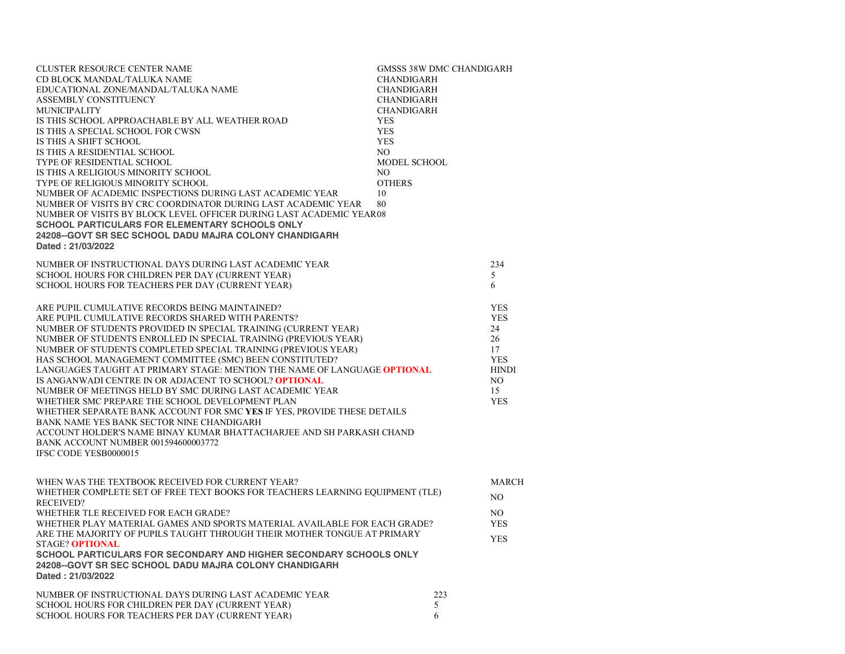| CLUSTER RESOURCE CENTER NAME<br>CD BLOCK MANDAL/TALUKA NAME<br>EDUCATIONAL ZONE/MANDAL/TALUKA NAME<br>ASSEMBLY CONSTITUENCY<br><b>MUNICIPALITY</b><br>IS THIS SCHOOL APPROACHABLE BY ALL WEATHER ROAD<br>IS THIS A SPECIAL SCHOOL FOR CWSN<br>IS THIS A SHIFT SCHOOL<br>IS THIS A RESIDENTIAL SCHOOL<br>TYPE OF RESIDENTIAL SCHOOL<br>IS THIS A RELIGIOUS MINORITY SCHOOL<br>TYPE OF RELIGIOUS MINORITY SCHOOL<br>NUMBER OF ACADEMIC INSPECTIONS DURING LAST ACADEMIC YEAR<br>NUMBER OF VISITS BY CRC COORDINATOR DURING LAST ACADEMIC YEAR<br>NUMBER OF VISITS BY BLOCK LEVEL OFFICER DURING LAST ACADEMIC YEAR08<br>SCHOOL PARTICULARS FOR ELEMENTARY SCHOOLS ONLY<br>24208--GOVT SR SEC SCHOOL DADU MAJRA COLONY CHANDIGARH<br>Dated: 21/03/2022                                                                                                                                       | <b>GMSSS 38W DMC CHANDIGARH</b><br><b>CHANDIGARH</b><br><b>CHANDIGARH</b><br><b>CHANDIGARH</b><br><b>CHANDIGARH</b><br>YES<br><b>YES</b><br><b>YES</b><br>NO.<br>MODEL SCHOOL<br>NO<br><b>OTHERS</b><br>10<br>80 |  |
|-------------------------------------------------------------------------------------------------------------------------------------------------------------------------------------------------------------------------------------------------------------------------------------------------------------------------------------------------------------------------------------------------------------------------------------------------------------------------------------------------------------------------------------------------------------------------------------------------------------------------------------------------------------------------------------------------------------------------------------------------------------------------------------------------------------------------------------------------------------------------------------------|------------------------------------------------------------------------------------------------------------------------------------------------------------------------------------------------------------------|--|
| NUMBER OF INSTRUCTIONAL DAYS DURING LAST ACADEMIC YEAR<br>SCHOOL HOURS FOR CHILDREN PER DAY (CURRENT YEAR)<br>SCHOOL HOURS FOR TEACHERS PER DAY (CURRENT YEAR)                                                                                                                                                                                                                                                                                                                                                                                                                                                                                                                                                                                                                                                                                                                            | 234<br>5<br>6                                                                                                                                                                                                    |  |
| ARE PUPIL CUMULATIVE RECORDS BEING MAINTAINED?<br>ARE PUPIL CUMULATIVE RECORDS SHARED WITH PARENTS?<br>NUMBER OF STUDENTS PROVIDED IN SPECIAL TRAINING (CURRENT YEAR)<br>NUMBER OF STUDENTS ENROLLED IN SPECIAL TRAINING (PREVIOUS YEAR)<br>NUMBER OF STUDENTS COMPLETED SPECIAL TRAINING (PREVIOUS YEAR)<br>HAS SCHOOL MANAGEMENT COMMITTEE (SMC) BEEN CONSTITUTED?<br>LANGUAGES TAUGHT AT PRIMARY STAGE: MENTION THE NAME OF LANGUAGE OPTIONAL<br>IS ANGANWADI CENTRE IN OR ADJACENT TO SCHOOL? OPTIONAL<br>NUMBER OF MEETINGS HELD BY SMC DURING LAST ACADEMIC YEAR<br>WHETHER SMC PREPARE THE SCHOOL DEVELOPMENT PLAN<br>WHETHER SEPARATE BANK ACCOUNT FOR SMC YES IF YES, PROVIDE THESE DETAILS<br>BANK NAME YES BANK SECTOR NINE CHANDIGARH<br>ACCOUNT HOLDER'S NAME BINAY KUMAR BHATTACHARJEE AND SH PARKASH CHAND<br>BANK ACCOUNT NUMBER 001594600003772<br>IFSC CODE YESB0000015 | <b>YES</b><br><b>YES</b><br>24<br>26<br>17<br><b>YES</b><br><b>HINDI</b><br>NO.<br>15<br><b>YES</b>                                                                                                              |  |
| WHEN WAS THE TEXTBOOK RECEIVED FOR CURRENT YEAR?<br>WHETHER COMPLETE SET OF FREE TEXT BOOKS FOR TEACHERS LEARNING EQUIPMENT (TLE)<br><b>RECEIVED?</b><br>WHETHER TLE RECEIVED FOR EACH GRADE?<br>WHETHER PLAY MATERIAL GAMES AND SPORTS MATERIAL AVAILABLE FOR EACH GRADE?<br>ARE THE MAJORITY OF PUPILS TAUGHT THROUGH THEIR MOTHER TONGUE AT PRIMARY<br>STAGE? OPTIONAL<br>SCHOOL PARTICULARS FOR SECONDARY AND HIGHER SECONDARY SCHOOLS ONLY<br>24208--GOVT SR SEC SCHOOL DADU MAJRA COLONY CHANDIGARH<br>Dated: 21/03/2022                                                                                                                                                                                                                                                                                                                                                            | <b>MARCH</b><br>NO<br>NO.<br><b>YES</b><br><b>YES</b>                                                                                                                                                            |  |
| NUMBER OF INSTRUCTIONAL DAYS DURING LAST ACADEMIC YEAR<br>SCHOOL HOURS FOR CHILDREN PER DAY (CURRENT YEAR)<br>SCHOOL HOURS FOR TEACHERS PER DAY (CURRENT YEAR)                                                                                                                                                                                                                                                                                                                                                                                                                                                                                                                                                                                                                                                                                                                            | 223<br>5<br>6                                                                                                                                                                                                    |  |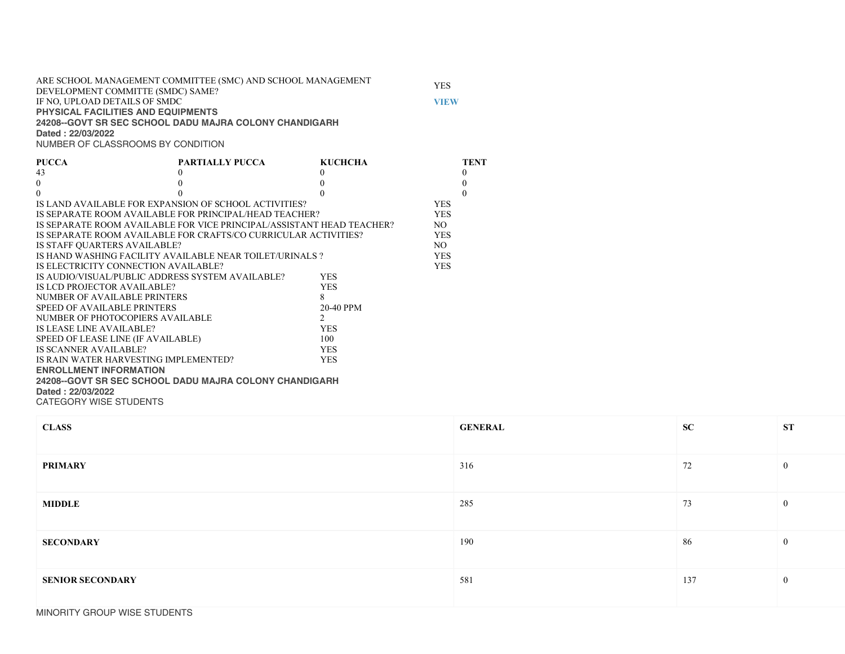ARE SCHOOL MANAGEMENT COMMITTEE (SMC) AND SCHOOL MANAGEMENT ARE SCHOOL MANAGEMENT COMMITTEE (SMC) AND SCHOOL MANAGEMENT<br>DEVELOPMENT COMMITTE (SMDC) SAME? IF NO, UPLOAD DETAILS OF SMDC VIEW VIEW PHYSICAL FACILITIES AND EQUIPMENTS 24208--GOVT SR SEC SCHOOL DADU MAJRA COLONY CHANDIGARH Dated : 22/03/2022

NUMBER OF CLASSROOMS BY CONDITION

| <b>PUCCA</b>                                          | PARTIALLY PUCCA                                                       | KUCHCHA        |            | <b>TENT</b> |
|-------------------------------------------------------|-----------------------------------------------------------------------|----------------|------------|-------------|
| 43                                                    |                                                                       | $\Omega$       |            | 0           |
| $\overline{0}$                                        |                                                                       |                |            | 0           |
| $\theta$                                              |                                                                       |                |            |             |
| IS LAND AVAILABLE FOR EXPANSION OF SCHOOL ACTIVITIES? |                                                                       |                | <b>YES</b> |             |
|                                                       | IS SEPARATE ROOM AVAILABLE FOR PRINCIPAL/HEAD TEACHER?                |                | <b>YES</b> |             |
|                                                       | IS SEPARATE ROOM AVAILABLE FOR VICE PRINCIPAL/ASSISTANT HEAD TEACHER? |                | NO.        |             |
|                                                       | IS SEPARATE ROOM AVAILABLE FOR CRAFTS/CO CURRICULAR ACTIVITIES?       |                | <b>YES</b> |             |
| IS STAFF QUARTERS AVAILABLE?                          |                                                                       |                | NO.        |             |
|                                                       | IS HAND WASHING FACILITY AVAILABLE NEAR TOILET/URINALS ?              |                | <b>YES</b> |             |
| IS ELECTRICITY CONNECTION AVAILABLE?                  |                                                                       |                | <b>YES</b> |             |
| IS AUDIO/VISUAL/PUBLIC ADDRESS SYSTEM AVAILABLE?      |                                                                       | <b>YES</b>     |            |             |
| IS LCD PROJECTOR AVAILABLE?                           |                                                                       | YES.           |            |             |
| NUMBER OF AVAILABLE PRINTERS                          |                                                                       | 8              |            |             |
| SPEED OF AVAILABLE PRINTERS                           |                                                                       | 20-40 PPM      |            |             |
| NUMBER OF PHOTOCOPIERS AVAILABLE                      |                                                                       | $\mathfrak{D}$ |            |             |
| IS LEASE LINE AVAILABLE?                              |                                                                       | <b>YES</b>     |            |             |
| SPEED OF LEASE LINE (IF AVAILABLE)                    |                                                                       | 100            |            |             |
| IS SCANNER AVAILABLE?                                 |                                                                       | <b>YES</b>     |            |             |
| IS RAIN WATER HARVESTING IMPLEMENTED?                 |                                                                       | <b>YES</b>     |            |             |
| <b>ENROLLMENT INFORMATION</b>                         |                                                                       |                |            |             |
|                                                       | 24208--GOVT SR SEC SCHOOL DADU MAJRA COLONY CHANDIGARH                |                |            |             |
| Dated: 22/03/2022                                     |                                                                       |                |            |             |
| CATEGORY WISE STUDENTS                                |                                                                       |                |            |             |

| <b>CLASS</b>            | <b>GENERAL</b> | ${\bf SC}$ | ST             |
|-------------------------|----------------|------------|----------------|
| <b>PRIMARY</b>          | 316            | 72         | $\mathbf{0}$   |
| <b>MIDDLE</b>           | 285            | 73         | $\mathbf{0}$   |
| <b>SECONDARY</b>        | 190            | 86         | $\overline{0}$ |
| <b>SENIOR SECONDARY</b> | 581            | 137        | $\mathbf{0}$   |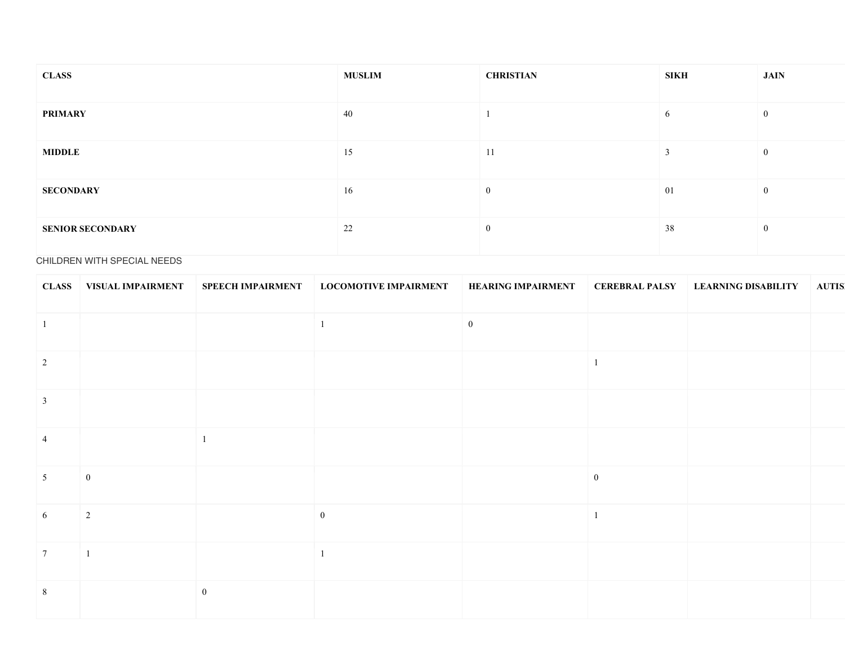| <b>CLASS</b>            | <b>MUSLIM</b> | <b>CHRISTIAN</b> | SIKH          | JAIN             |
|-------------------------|---------------|------------------|---------------|------------------|
| <b>PRIMARY</b>          | 40            |                  | 6             | $\boldsymbol{0}$ |
| <b>MIDDLE</b>           | 15            | 11               | $\rightarrow$ | $\mathbf{0}$     |
| <b>SECONDARY</b>        | 16            | $\bf{0}$         | 01            | $\boldsymbol{0}$ |
| <b>SENIOR SECONDARY</b> | 22            | $\overline{0}$   | 38            | $\mathbf{0}$     |

# CHILDREN WITH SPECIAL NEEDS

|                 | <b>CLASS</b>   VISUAL IMPAIRMENT | <b>SPEECH IMPAIRMENT</b> | <b>LOCOMOTIVE IMPAIRMENT</b> | <b>HEARING IMPAIRMENT</b> | <b>CEREBRAL PALSY</b> | <b>LEARNING DISABILITY</b> | <b>AUTIS</b> |
|-----------------|----------------------------------|--------------------------|------------------------------|---------------------------|-----------------------|----------------------------|--------------|
| $\vert 1$       |                                  |                          |                              | $\boldsymbol{0}$          |                       |                            |              |
| $\vert 2 \vert$ |                                  |                          |                              |                           |                       |                            |              |
| $\overline{3}$  |                                  |                          |                              |                           |                       |                            |              |
| $\overline{4}$  |                                  | $\mathbf{1}$             |                              |                           |                       |                            |              |
| 5 <sup>5</sup>  | $\boldsymbol{0}$                 |                          |                              |                           | $\boldsymbol{0}$      |                            |              |
| 6               | $\overline{2}$                   |                          | $\boldsymbol{0}$             |                           |                       |                            |              |
| $\boxed{7}$     | $\overline{1}$                   |                          |                              |                           |                       |                            |              |
| $8\phantom{.0}$ |                                  | $\mathbf{0}$             |                              |                           |                       |                            |              |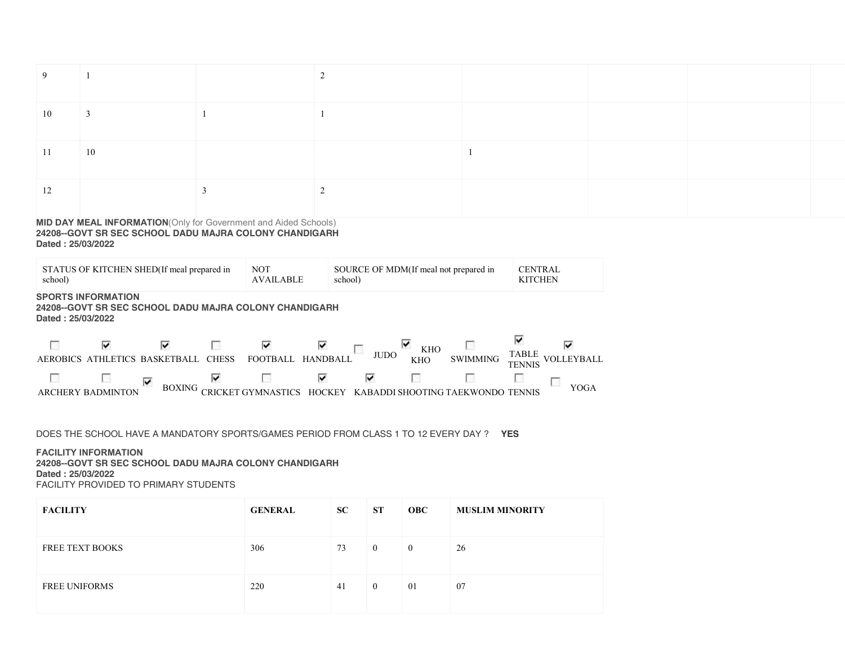| 9.   |                         |  |  |  |
|------|-------------------------|--|--|--|
| 10   | $\overline{\mathbf{3}}$ |  |  |  |
| 11   | 10                      |  |  |  |
| - 12 |                         |  |  |  |

### MID DAY MEAL INFORMATION(Only for Government and Aided Schools) 24208--GOVT SR SEC SCHOOL DADU MAJRA COLONY CHANDIGARH Dated : 25/03/2022

| STATUS OF KITCHEN SHED (If meal prepared in<br>school) |                                                                                                          |                           |                    | <b>NOT</b><br><b>AVAILABLE</b> |                      | SOURCE OF MDM(If meal not prepared in<br>school) |                               |                                   |                             | <b>CENTRAL</b><br><b>KITCHEN</b> |
|--------------------------------------------------------|----------------------------------------------------------------------------------------------------------|---------------------------|--------------------|--------------------------------|----------------------|--------------------------------------------------|-------------------------------|-----------------------------------|-----------------------------|----------------------------------|
|                                                        | <b>SPORTS INFORMATION</b><br>24208--GOVT SR SEC SCHOOL DADU MAJRA COLONY CHANDIGARH<br>Dated: 25/03/2022 |                           |                    |                                |                      |                                                  |                               |                                   |                             |                                  |
| <b>AEROBICS</b>                                        | ⊽                                                                                                        | M<br>ATHLETICS BASKETBALL | P.<br><b>CHESS</b> | ⊽<br><b>FOOTBALL</b>           | M<br><b>HANDBALL</b> | P.<br><b>JUDO</b>                                | V<br><b>KHO</b><br><b>KHO</b> | RS<br><b>SWIMMING</b>             | M<br><b>TABLE</b><br>TENNIS | ⊽<br>VOLLEYBALL                  |
|                                                        | R.<br>ARCHERY BADMINTON                                                                                  | ⊽<br><b>BOXING</b>        | ⊽                  | P.                             | M<br><b>HOCKEY</b>   | 1                                                | B                             | KABADDI SHOOTING TAEKWONDO TENNIS | R                           | YOGA                             |

DOES THE SCHOOL HAVE A MANDATORY SPORTS/GAMES PERIOD FROM CLASS 1 TO 12 EVERY DAY ? YES

## FACILITY INFORMATION

24208--GOVT SR SEC SCHOOL DADU MAJRA COLONY CHANDIGARH Dated : 25/03/2022 FACILITY PROVIDED TO PRIMARY STUDENTS

| <b>FACILITY</b>        | <b>GENERAL</b> | SC | <b>ST</b>      | <b>OBC</b> | <b>MUSLIM MINORITY</b> |
|------------------------|----------------|----|----------------|------------|------------------------|
| <b>FREE TEXT BOOKS</b> | 306            | 73 | $\bf{0}$       | $\theta$   | 26                     |
| <b>FREE UNIFORMS</b>   | 220            | 41 | $\overline{0}$ | 01         | 07                     |